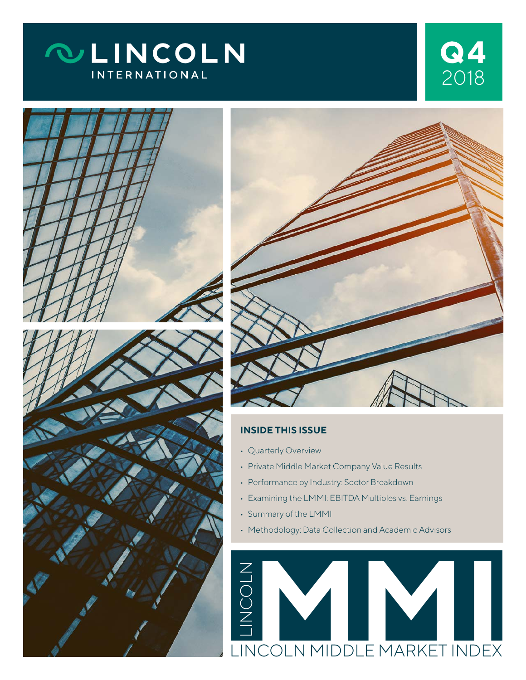# **QLINCOLN INTERNATIONAL**







#### **INSIDE THIS ISSUE**

- Quarterly Overview
- Private Middle Market Company Value Results
- Performance by Industry: Sector Breakdown
- Examining the LMMI: EBITDA Multiples vs. Earnings
- Summary of the LMMI
- Methodology: Data Collection and Academic Advisors

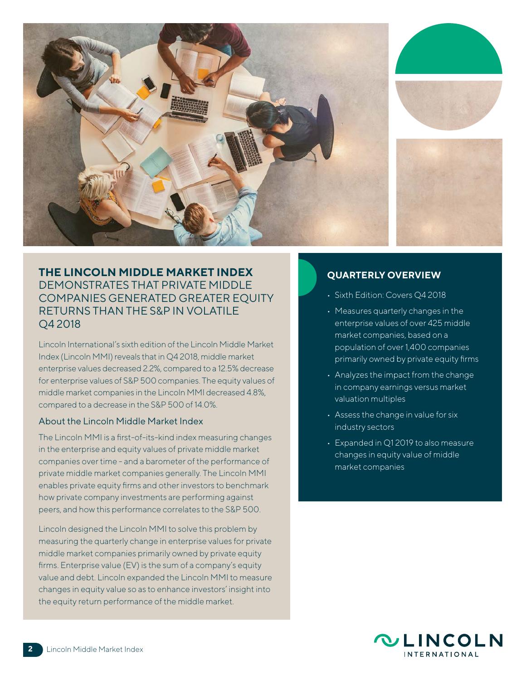

#### **THE LINCOLN MIDDLE MARKET INDEX** DEMONSTRATES THAT PRIVATE MIDDLE COMPANIES GENERATED GREATER EQUITY RETURNS THAN THE S&P IN VOLATILE Q4 2018

Lincoln International's sixth edition of the Lincoln Middle Market Index (Lincoln MMI) reveals that in Q4 2018, middle market enterprise values decreased 2.2%, compared to a 12.5% decrease for enterprise values of S&P 500 companies. The equity values of middle market companies in the Lincoln MMI decreased 4.8%, compared to a decrease in the S&P 500 of 14.0%.

#### About the Lincoln Middle Market Index

The Lincoln MMI is a first-of-its-kind index measuring changes in the enterprise and equity values of private middle market companies over time - and a barometer of the performance of private middle market companies generally. The Lincoln MMI enables private equity firms and other investors to benchmark how private company investments are performing against peers, and how this performance correlates to the S&P 500.

Lincoln designed the Lincoln MMI to solve this problem by measuring the quarterly change in enterprise values for private middle market companies primarily owned by private equity firms. Enterprise value (EV) is the sum of a company's equity value and debt. Lincoln expanded the Lincoln MMI to measure changes in equity value so as to enhance investors' insight into the equity return performance of the middle market.

#### **QUARTERLY OVERVIEW**

- Sixth Edition: Covers Q4 2018
- Measures quarterly changes in the enterprise values of over 425 middle market companies, based on a population of over 1,400 companies primarily owned by private equity firms
- Analyzes the impact from the change in company earnings versus market valuation multiples
- Assess the change in value for six industry sectors
- Expanded in Q1 2019 to also measure changes in equity value of middle market companies

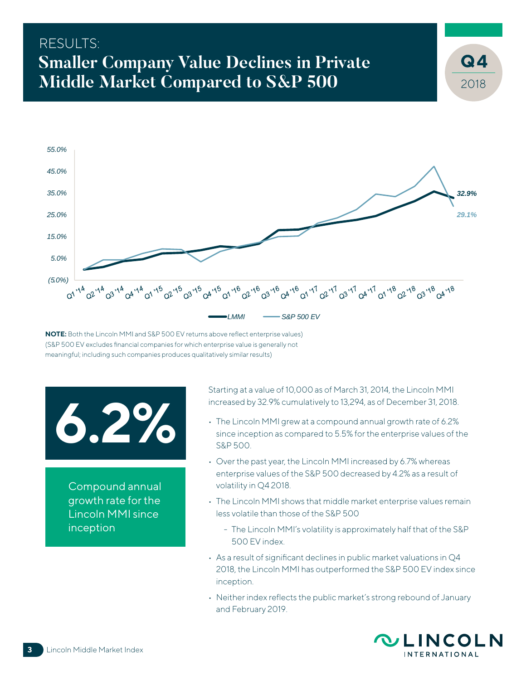## RESULTS: **Smaller Company Value Declines in Private Middle Market Compared to S&P 500**



**NOTE:** Both the Lincoln MMI and S&P 500 EV returns above reflect enterprise values) (S&P 500 EV excludes financial companies for which enterprise value is generally not meaningful; including such companies produces qualitatively similar results)

# **6.2%**

Compound annual growth rate for the Lincoln MMI since inception

Starting at a value of 10,000 as of March 31, 2014, the Lincoln MMI increased by 32.9% cumulatively to 13,294, as of December 31, 2018.

- The Lincoln MMI grew at a compound annual growth rate of 6.2% since inception as compared to 5.5% for the enterprise values of the S&P 500.
- Over the past year, the Lincoln MMI increased by 6.7% whereas enterprise values of the S&P 500 decreased by 4.2% as a result of volatility in Q4 2018.
- The Lincoln MMI shows that middle market enterprise values remain less volatile than those of the S&P 500
	- The Lincoln MMI's volatility is approximately half that of the S&P 500 EV index.
- As a result of significant declines in public market valuations in Q4 2018, the Lincoln MMI has outperformed the S&P 500 EV index since inception.
- Neither index reflects the public market's strong rebound of January and February 2019.



2018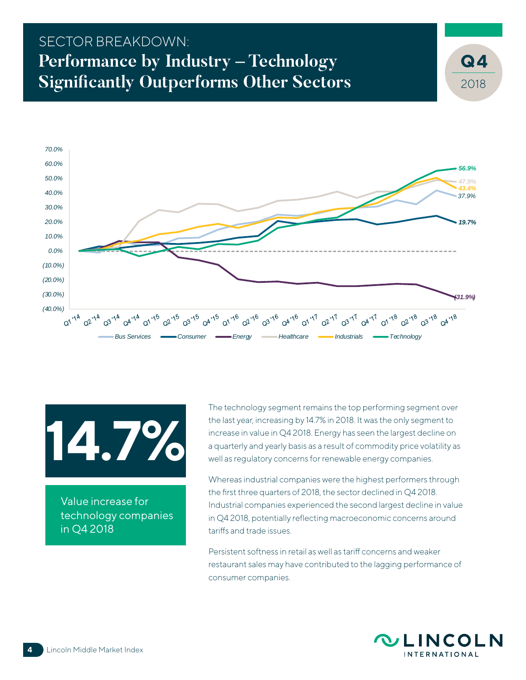## SECTOR BREAKDOWN: **Performance by Industry – Technology Significantly Outperforms Other Sectors**



**14.7%**

Value increase for technology companies in Q4 2018

The technology segment remains the top performing segment over the last year, increasing by 14.7% in 2018. It was the only segment to increase in value in Q4 2018. Energy has seen the largest decline on a quarterly and yearly basis as a result of commodity price volatility as well as regulatory concerns for renewable energy companies.

Whereas industrial companies were the highest performers through the first three quarters of 2018, the sector declined in Q4 2018. Industrial companies experienced the second largest decline in value in Q4 2018, potentially reflecting macroeconomic concerns around tariffs and trade issues.

Persistent softness in retail as well as tariff concerns and weaker restaurant sales may have contributed to the lagging performance of consumer companies.



2018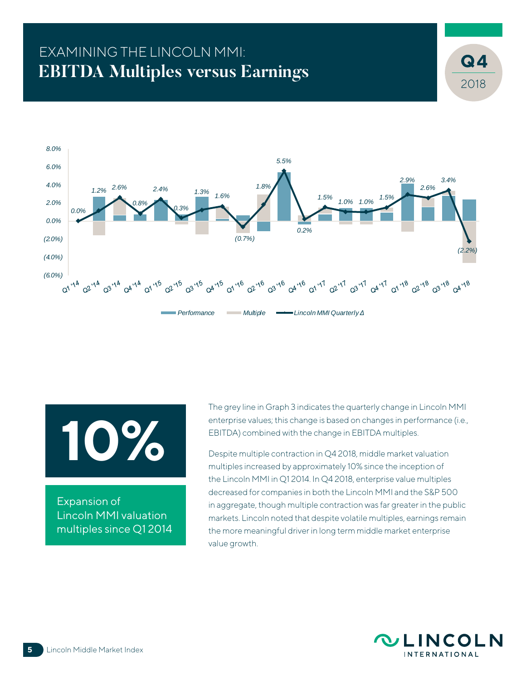# EXAMINING THE LINCOLN MMI: **EBITDA Multiples versus Earnings**



**10%**

Expansion of Lincoln MMI valuation multiples since Q1 2014 The grey line in Graph 3 indicates the quarterly change in Lincoln MMI enterprise values; this change is based on changes in performance (i.e., EBITDA) combined with the change in EBITDA multiples.

Despite multiple contraction in Q4 2018, middle market valuation multiples increased by approximately 10% since the inception of the Lincoln MMI in Q1 2014. In Q4 2018, enterprise value multiples decreased for companies in both the Lincoln MMI and the S&P 500 in aggregate, though multiple contraction was far greater in the public markets. Lincoln noted that despite volatile multiples, earnings remain the more meaningful driver in long term middle market enterprise value growth.



2018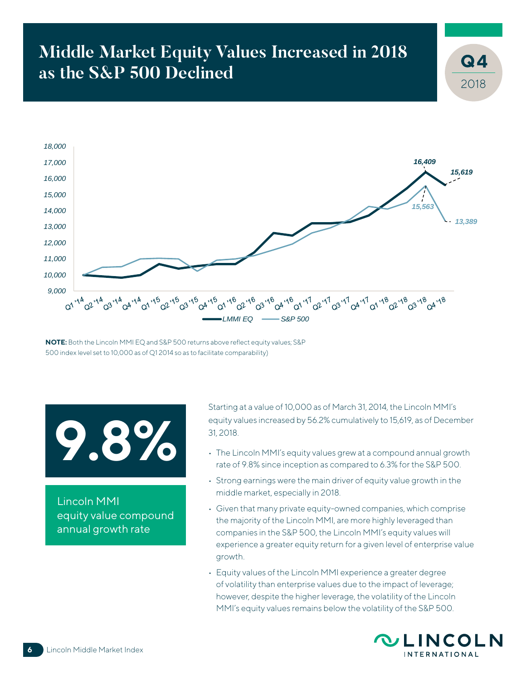# **Middle Market Equity Values Increased in 2018 as the S&P 500 Declined**



**NOTE:** Both the Lincoln MMI EQ and S&P 500 returns above reflect equity values; S&P 500 index level set to 10,000 as of Q1 2014 so as to facilitate comparability)

# **9.8%**

Lincoln MMI equity value compound annual growth rate

Starting at a value of 10,000 as of March 31, 2014, the Lincoln MMI's equity values increased by 56.2% cumulatively to 15,619, as of December 31, 2018.

- The Lincoln MMI's equity values grew at a compound annual growth rate of 9.8% since inception as compared to 6.3% for the S&P 500.
- Strong earnings were the main driver of equity value growth in the middle market, especially in 2018.
- Given that many private equity-owned companies, which comprise the majority of the Lincoln MMI, are more highly leveraged than companies in the S&P 500, the Lincoln MMI's equity values will experience a greater equity return for a given level of enterprise value growth.
- Equity values of the Lincoln MMI experience a greater degree of volatility than enterprise values due to the impact of leverage; however, despite the higher leverage, the volatility of the Lincoln MMI's equity values remains below the volatility of the S&P 500.



2018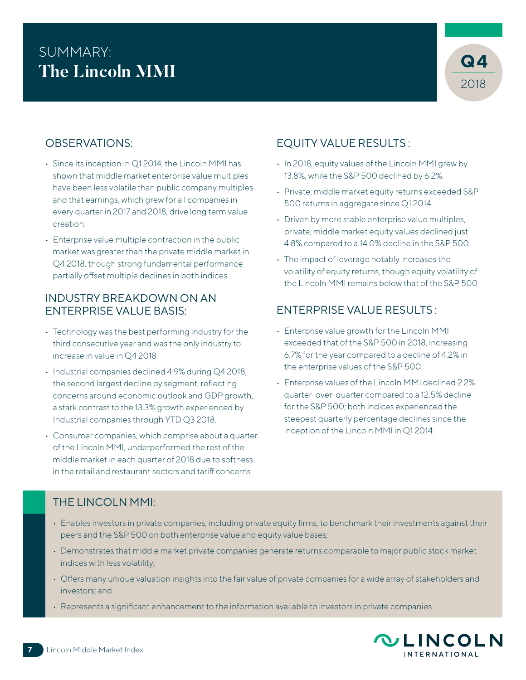# SUMMARY: **The Lincoln MMI**



## OBSERVATIONS:

- Since its inception in Q1 2014, the Lincoln MMI has shown that middle market enterprise value multiples have been less volatile than public company multiples and that earnings, which grew for all companies in every quarter in 2017 and 2018, drive long term value creation.
- Enterprise value multiple contraction in the public market was greater than the private middle market in Q4 2018, though strong fundamental performance partially offset multiple declines in both indices

#### INDUSTRY BREAKDOWN ON AN ENTERPRISE VALUE BASIS:

- Technology was the best performing industry for the third consecutive year and was the only industry to increase in value in Q4 2018
- Industrial companies declined 4.9% during Q4 2018, the second largest decline by segment, reflecting concerns around economic outlook and GDP growth, a stark contrast to the 13.3% growth experienced by Industrial companies through YTD Q3 2018.
- Consumer companies, which comprise about a quarter of the Lincoln MMI, underperformed the rest of the middle market in each quarter of 2018 due to softness in the retail and restaurant sectors and tariff concerns

## EQUITY VALUE RESULTS :

- In 2018, equity values of the Lincoln MMI grew by 13.8%, while the S&P 500 declined by 6.2%.
- Private, middle market equity returns exceeded S&P 500 returns in aggregate since Q1 2014.
- Driven by more stable enterprise value multiples, private, middle market equity values declined just 4.8% compared to a 14.0% decline in the S&P 500.
- The impact of leverage notably increases the volatility of equity returns, though equity volatility of the Lincoln MMI remains below that of the S&P 500

## ENTERPRISE VALUE RESULTS :

- Enterprise value growth for the Lincoln MMI exceeded that of the S&P 500 in 2018, increasing 6.7% for the year compared to a decline of 4.2% in the enterprise values of the S&P 500.
- Enterprise values of the Lincoln MMI declined 2.2% quarter-over-quarter compared to a 12.5% decline for the S&P 500; both indices experienced the steepest quarterly percentage declines since the inception of the Lincoln MMI in Q1 2014.

#### THE LINCOLN MMI:

- Enables investors in private companies, including private equity firms, to benchmark their investments against their peers and the S&P 500 on both enterprise value and equity value bases;
- Demonstrates that middle market private companies generate returns comparable to major public stock market indices with less volatility;
- Offers many unique valuation insights into the fair value of private companies for a wide array of stakeholders and investors; and
- Represents a significant enhancement to the information available to investors in private companies.

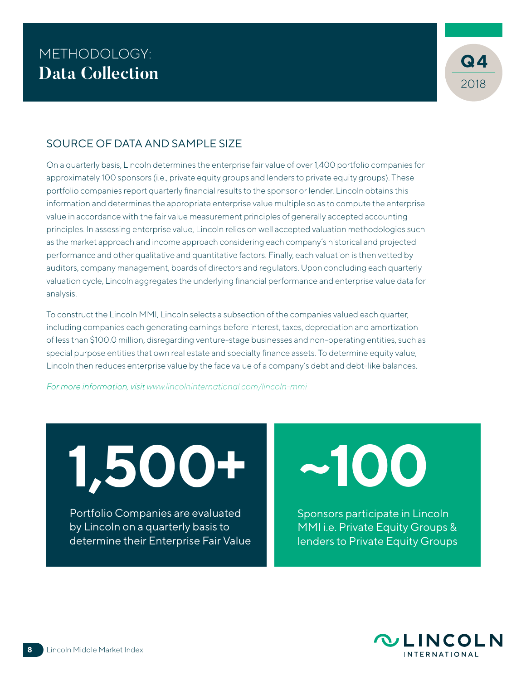

### SOURCE OF DATA AND SAMPLE SIZE

On a quarterly basis, Lincoln determines the enterprise fair value of over 1,400 portfolio companies for approximately 100 sponsors (i.e., private equity groups and lenders to private equity groups). These portfolio companies report quarterly financial results to the sponsor or lender. Lincoln obtains this information and determines the appropriate enterprise value multiple so as to compute the enterprise value in accordance with the fair value measurement principles of generally accepted accounting principles. In assessing enterprise value, Lincoln relies on well accepted valuation methodologies such as the market approach and income approach considering each company's historical and projected performance and other qualitative and quantitative factors. Finally, each valuation is then vetted by auditors, company management, boards of directors and regulators. Upon concluding each quarterly valuation cycle, Lincoln aggregates the underlying financial performance and enterprise value data for analysis.

To construct the Lincoln MMI, Lincoln selects a subsection of the companies valued each quarter, including companies each generating earnings before interest, taxes, depreciation and amortization of less than \$100.0 million, disregarding venture-stage businesses and non-operating entities, such as special purpose entities that own real estate and specialty finance assets. To determine equity value, Lincoln then reduces enterprise value by the face value of a company's debt and debt-like balances.

*For more information, visit www.lincolninternational.com/lincoln-mmi*

**1,500+**

Portfolio Companies are evaluated by Lincoln on a quarterly basis to determine their Enterprise Fair Value **~100**

Sponsors participate in Lincoln MMI i.e. Private Equity Groups & lenders to Private Equity Groups

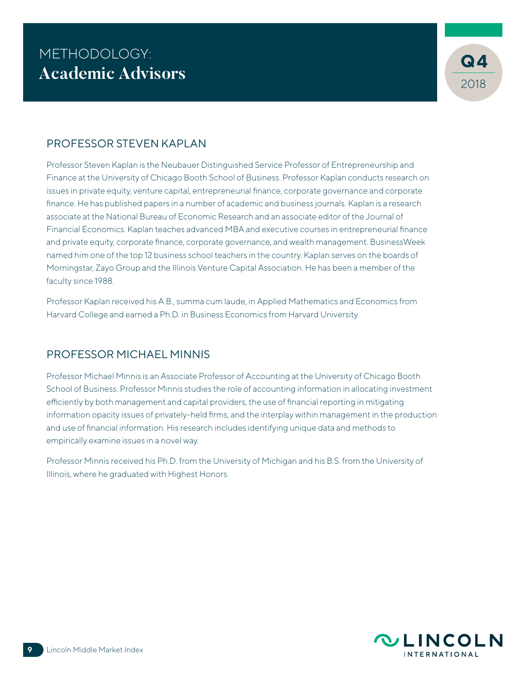

### PROFESSOR STEVEN KAPLAN

Professor Steven Kaplan is the Neubauer Distinguished Service Professor of Entrepreneurship and Finance at the University of Chicago Booth School of Business. Professor Kaplan conducts research on issues in private equity, venture capital, entrepreneurial finance, corporate governance and corporate finance. He has published papers in a number of academic and business journals. Kaplan is a research associate at the National Bureau of Economic Research and an associate editor of the Journal of Financial Economics. Kaplan teaches advanced MBA and executive courses in entrepreneurial finance and private equity, corporate finance, corporate governance, and wealth management. BusinessWeek named him one of the top 12 business school teachers in the country. Kaplan serves on the boards of Morningstar, Zayo Group and the Illinois Venture Capital Association. He has been a member of the faculty since 1988.

Professor Kaplan received his A.B., summa cum laude, in Applied Mathematics and Economics from Harvard College and earned a Ph.D. in Business Economics from Harvard University.

#### PROFESSOR MICHAEL MINNIS

Professor Michael Minnis is an Associate Professor of Accounting at the University of Chicago Booth School of Business. Professor Minnis studies the role of accounting information in allocating investment efficiently by both management and capital providers, the use of financial reporting in mitigating information opacity issues of privately-held firms, and the interplay within management in the production and use of financial information. His research includes identifying unique data and methods to empirically examine issues in a novel way.

Professor Minnis received his Ph.D. from the University of Michigan and his B.S. from the University of Illinois, where he graduated with Highest Honors.